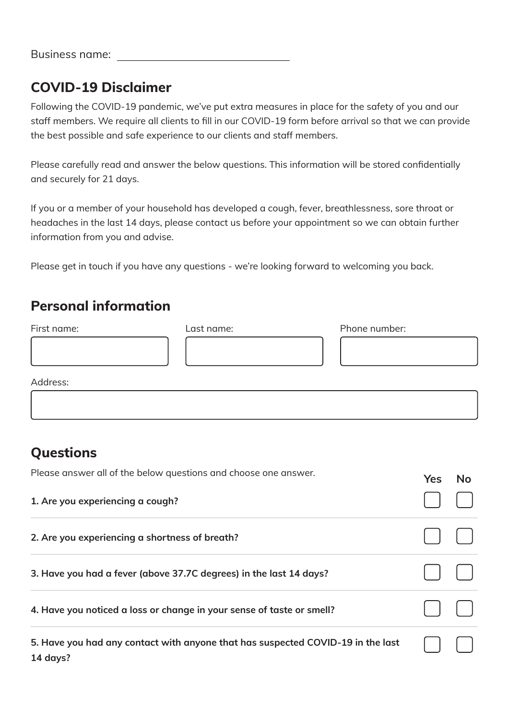## **COVID-19 Disclaimer**

Following the COVID-19 pandemic, we've put extra measures in place for the safety of you and our staff members. We require all clients to fill in our COVID-19 form before arrival so that we can provide the best possible and safe experience to our clients and staff members.

Please carefully read and answer the below questions. This information will be stored confidentially and securely for 21 days.

If you or a member of your household has developed a cough, fever, breathlessness, sore throat or headaches in the last 14 days, please contact us before your appointment so we can obtain further information from you and advise.

Please get in touch if you have any questions - we're looking forward to welcoming you back.

## **Personal information**

| First name: | Last name: | Phone number: |  |
|-------------|------------|---------------|--|
|             |            |               |  |
|             |            |               |  |
|             |            |               |  |
| Address:    |            |               |  |
|             |            |               |  |

## **Questions**

| Please answer all of the below questions and choose one answer.                             | <b>Yes</b> | No |
|---------------------------------------------------------------------------------------------|------------|----|
| 1. Are you experiencing a cough?                                                            |            |    |
| 2. Are you experiencing a shortness of breath?                                              |            |    |
| 3. Have you had a fever (above 37.7C degrees) in the last 14 days?                          |            |    |
| 4. Have you noticed a loss or change in your sense of taste or smell?                       |            |    |
| 5. Have you had any contact with anyone that has suspected COVID-19 in the last<br>14 days? |            |    |